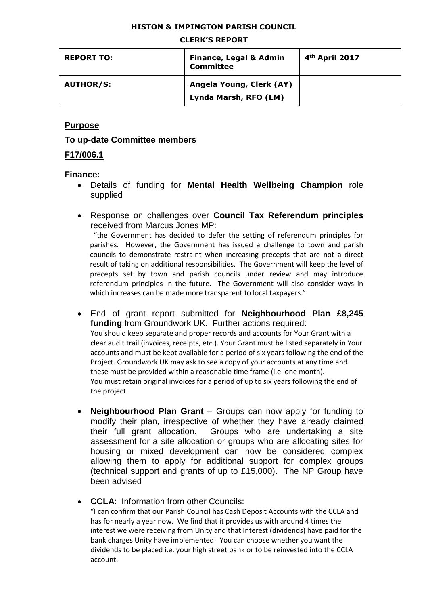#### **HISTON & IMPINGTON PARISH COUNCIL**

#### **CLERK'S REPORT**

| <b>REPORT TO:</b> | <b>Finance, Legal &amp; Admin</b><br><b>Committee</b> | 4 <sup>th</sup> April 2017 |
|-------------------|-------------------------------------------------------|----------------------------|
| <b>AUTHOR/S:</b>  | Angela Young, Clerk (AY)<br>Lynda Marsh, RFO (LM)     |                            |

## **Purpose**

#### **To up-date Committee members**

#### **F17/006.1**

#### **Finance:**

- Details of funding for **Mental Health Wellbeing Champion** role supplied
- Response on challenges over **Council Tax Referendum principles** received from Marcus Jones MP:

 "the Government has decided to defer the setting of referendum principles for parishes. However, the Government has issued a challenge to town and parish councils to demonstrate restraint when increasing precepts that are not a direct result of taking on additional responsibilities. The Government will keep the level of precepts set by town and parish councils under review and may introduce referendum principles in the future. The Government will also consider ways in which increases can be made more transparent to local taxpayers."

- End of grant report submitted for **Neighbourhood Plan £8,245 funding** from Groundwork UK. Further actions required: You should keep separate and proper records and accounts for Your Grant with a clear audit trail (invoices, receipts, etc.). Your Grant must be listed separately in Your accounts and must be kept available for a period of six years following the end of the Project. Groundwork UK may ask to see a copy of your accounts at any time and these must be provided within a reasonable time frame (i.e. one month). You must retain original invoices for a period of up to six years following the end of the project.
- **Neighbourhood Plan Grant** Groups can now apply for funding to modify their plan, irrespective of whether they have already claimed their full grant allocation. Groups who are undertaking a site assessment for a site allocation or groups who are allocating sites for housing or mixed development can now be considered complex allowing them to apply for additional support for complex groups (technical support and grants of up to £15,000). The NP Group have been advised
- **CCLA**: Information from other Councils: "I can confirm that our Parish Council has Cash Deposit Accounts with the CCLA and has for nearly a year now. We find that it provides us with around 4 times the interest we were receiving from Unity and that Interest (dividends) have paid for the bank charges Unity have implemented. You can choose whether you want the dividends to be placed i.e. your high street bank or to be reinvested into the CCLA account.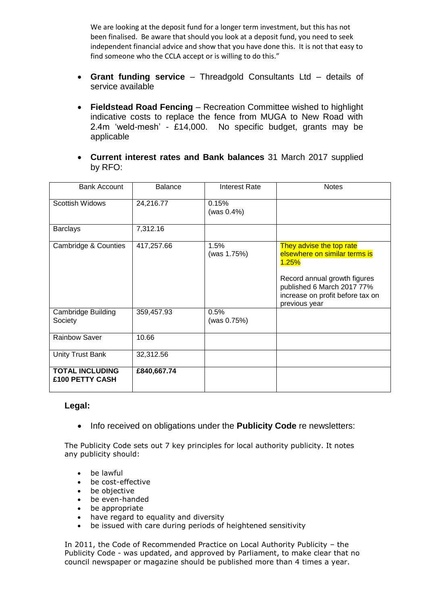We are looking at the deposit fund for a longer term investment, but this has not been finalised. Be aware that should you look at a deposit fund, you need to seek independent financial advice and show that you have done this. It is not that easy to find someone who the CCLA accept or is willing to do this."

- **Grant funding service** Threadgold Consultants Ltd details of service available
- **Fieldstead Road Fencing** Recreation Committee wished to highlight indicative costs to replace the fence from MUGA to New Road with 2.4m 'weld-mesh' - £14,000. No specific budget, grants may be applicable
- **Current interest rates and Bank balances** 31 March 2017 supplied by RFO:

| <b>Bank Account</b>                       | <b>Balance</b> | <b>Interest Rate</b> | <b>Notes</b>                                                                                                                                                                          |
|-------------------------------------------|----------------|----------------------|---------------------------------------------------------------------------------------------------------------------------------------------------------------------------------------|
| Scottish Widows                           | 24,216.77      | 0.15%<br>(was 0.4%)  |                                                                                                                                                                                       |
| <b>Barclays</b>                           | 7,312.16       |                      |                                                                                                                                                                                       |
| Cambridge & Counties                      | 417,257.66     | 1.5%<br>(was 1.75%)  | They advise the top rate<br>elsewhere on similar terms is<br>1.25%<br>Record annual growth figures<br>published 6 March 2017 77%<br>increase on profit before tax on<br>previous year |
| <b>Cambridge Building</b><br>Society      | 359,457.93     | 0.5%<br>(was 0.75%)  |                                                                                                                                                                                       |
| <b>Rainbow Saver</b>                      | 10.66          |                      |                                                                                                                                                                                       |
| Unity Trust Bank                          | 32,312.56      |                      |                                                                                                                                                                                       |
| <b>TOTAL INCLUDING</b><br>£100 PETTY CASH | £840,667.74    |                      |                                                                                                                                                                                       |

#### **Legal:**

• Info received on obligations under the **Publicity Code** re newsletters:

The Publicity Code sets out 7 key principles for local authority publicity. It notes any publicity should:

- be lawful
- be cost-effective
- be objective
- be even-handed
- be appropriate
- have regard to equality and diversity
- be issued with care during periods of heightened sensitivity

In 2011, the Code of Recommended Practice on Local Authority Publicity – the Publicity Code - was updated, and approved by Parliament, to make clear that no council newspaper or magazine should be published more than 4 times a year.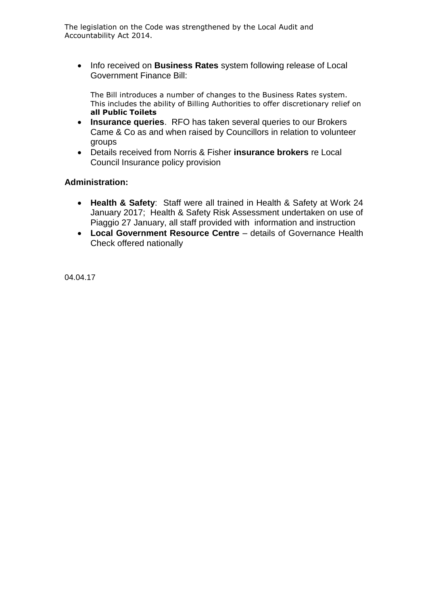The legislation on the Code was strengthened by the Local Audit and Accountability Act 2014.

• Info received on **Business Rates** system following release of Local Government Finance Bill:

The Bill introduces a number of changes to the Business Rates system. This includes the ability of Billing Authorities to offer discretionary relief on **all Public Toilets**

- **Insurance queries**. RFO has taken several queries to our Brokers Came & Co as and when raised by Councillors in relation to volunteer groups
- Details received from Norris & Fisher **insurance brokers** re Local Council Insurance policy provision

## **Administration:**

- **Health & Safety**: Staff were all trained in Health & Safety at Work 24 January 2017; Health & Safety Risk Assessment undertaken on use of Piaggio 27 January, all staff provided with information and instruction
- **Local Government Resource Centre** details of Governance Health Check offered nationally

04.04.17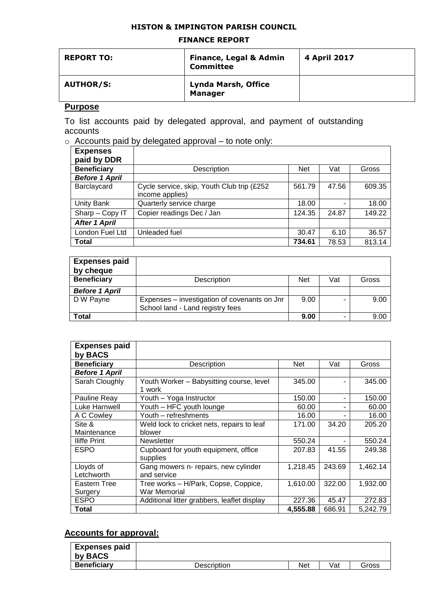#### **HISTON & IMPINGTON PARISH COUNCIL**

#### **FINANCE REPORT**

| <b>REPORT TO:</b> | <b>Finance, Legal &amp; Admin</b><br><b>Committee</b> | 4 April 2017 |
|-------------------|-------------------------------------------------------|--------------|
| <b>AUTHOR/S:</b>  | <b>Lynda Marsh, Office</b><br><b>Manager</b>          |              |

## **Purpose**

To list accounts paid by delegated approval, and payment of outstanding accounts

o Accounts paid by delegated approval – to note only:

| <b>Expenses</b>       |                                             |            |       |        |
|-----------------------|---------------------------------------------|------------|-------|--------|
| paid by DDR           |                                             |            |       |        |
| <b>Beneficiary</b>    | Description                                 | <b>Net</b> | Vat   | Gross  |
| <b>Before 1 April</b> |                                             |            |       |        |
| Barclaycard           | Cycle service, skip, Youth Club trip (£252) | 561.79     | 47.56 | 609.35 |
|                       | income applies)                             |            |       |        |
| Unity Bank            | Quarterly service charge                    | 18.00      |       | 18.00  |
| Sharp - Copy IT       | Copier readings Dec / Jan                   | 124.35     | 24.87 | 149.22 |
| <b>After 1 April</b>  |                                             |            |       |        |
| London Fuel Ltd       | Unleaded fuel                               | 30.47      | 6.10  | 36.57  |
| Total                 |                                             | 734.61     | 78.53 | 813.14 |

| <b>Expenses paid</b><br>by cheque |                                                                                  |            |     |       |
|-----------------------------------|----------------------------------------------------------------------------------|------------|-----|-------|
| <b>Beneficiary</b>                | Description                                                                      | <b>Net</b> | Vat | Gross |
| <b>Before 1 April</b>             |                                                                                  |            |     |       |
| D W Payne                         | Expenses - investigation of covenants on Jnr<br>School land - Land registry fees | 9.00       |     | 9.00  |
| <b>Total</b>                      |                                                                                  | 9.00       |     | 9.00  |

| <b>Expenses paid</b><br>by BACS |                                                    |          |        |          |
|---------------------------------|----------------------------------------------------|----------|--------|----------|
| <b>Beneficiary</b>              | Description                                        | Net      | Vat    | Gross    |
| <b>Before 1 April</b>           |                                                    |          |        |          |
| Sarah Cloughly                  | Youth Worker - Babysitting course, level<br>1 work | 345.00   |        | 345.00   |
| Pauline Reay                    | Youth - Yoga Instructor                            | 150.00   | ۰      | 150.00   |
| Luke Harnwell                   | Youth - HFC youth lounge                           | 60.00    |        | 60.00    |
| A C Cowley                      | Youth – refreshments                               | 16.00    |        | 16.00    |
| Site &                          | Weld lock to cricket nets, repairs to leaf         | 171.00   | 34.20  | 205.20   |
| Maintenance                     | blower                                             |          |        |          |
| <b>Iliffe Print</b>             | <b>Newsletter</b>                                  | 550.24   |        | 550.24   |
| <b>ESPO</b>                     | Cupboard for youth equipment, office<br>supplies   | 207.83   | 41.55  | 249.38   |
| Lloyds of                       | Gang mowers n- repairs, new cylinder               | 1,218.45 | 243.69 | 1,462.14 |
| Letchworth                      | and service                                        |          |        |          |
| Eastern Tree                    | Tree works – H/Park, Copse, Coppice,               | 1,610.00 | 322.00 | 1,932.00 |
| Surgery                         | War Memorial                                       |          |        |          |
| <b>ESPO</b>                     | Additional litter grabbers, leaflet display        | 227.36   | 45.47  | 272.83   |
| <b>Total</b>                    |                                                    | 4,555.88 | 686.91 | 5,242.79 |

# **Accounts for approval:**

| <b>Expenses paid</b><br>by BACS |             |     |     |       |
|---------------------------------|-------------|-----|-----|-------|
| <b>Beneficiary</b>              | Description | Net | Vat | Gross |